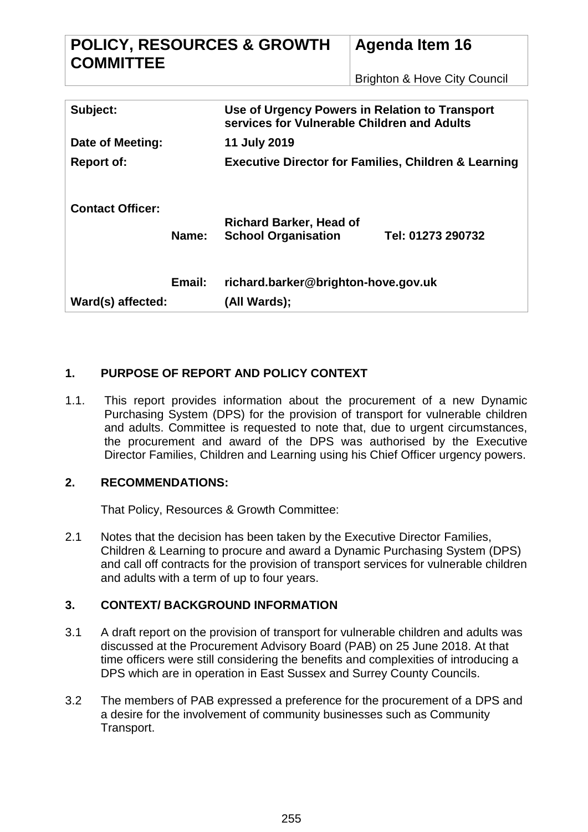| <b>POLICY, RESOURCES &amp; GROWTH</b><br><b>COMMITTEE</b> |                                                                                               | <b>Agenda Item 16</b><br><b>Brighton &amp; Hove City Council</b> |
|-----------------------------------------------------------|-----------------------------------------------------------------------------------------------|------------------------------------------------------------------|
|                                                           |                                                                                               |                                                                  |
| Subject:                                                  | Use of Urgency Powers in Relation to Transport<br>services for Vulnerable Children and Adults |                                                                  |
| Date of Meeting:                                          | 11 July 2019                                                                                  |                                                                  |
| <b>Report of:</b>                                         | <b>Executive Director for Families, Children &amp; Learning</b>                               |                                                                  |
| <b>Contact Officer:</b><br>Name:                          | <b>Richard Barker, Head of</b><br><b>School Organisation</b>                                  | Tel: 01273 290732                                                |
| Email:<br>Ward(s) affected:                               | richard.barker@brighton-hove.gov.uk<br>(All Wards);                                           |                                                                  |

## **1. PURPOSE OF REPORT AND POLICY CONTEXT**

1.1. This report provides information about the procurement of a new Dynamic Purchasing System (DPS) for the provision of transport for vulnerable children and adults. Committee is requested to note that, due to urgent circumstances, the procurement and award of the DPS was authorised by the Executive Director Families, Children and Learning using his Chief Officer urgency powers.

### **2. RECOMMENDATIONS:**

That Policy, Resources & Growth Committee:

2.1 Notes that the decision has been taken by the Executive Director Families, Children & Learning to procure and award a Dynamic Purchasing System (DPS) and call off contracts for the provision of transport services for vulnerable children and adults with a term of up to four years.

### **3. CONTEXT/ BACKGROUND INFORMATION**

- 3.1 A draft report on the provision of transport for vulnerable children and adults was discussed at the Procurement Advisory Board (PAB) on 25 June 2018. At that time officers were still considering the benefits and complexities of introducing a DPS which are in operation in East Sussex and Surrey County Councils.
- 3.2 The members of PAB expressed a preference for the procurement of a DPS and a desire for the involvement of community businesses such as Community Transport.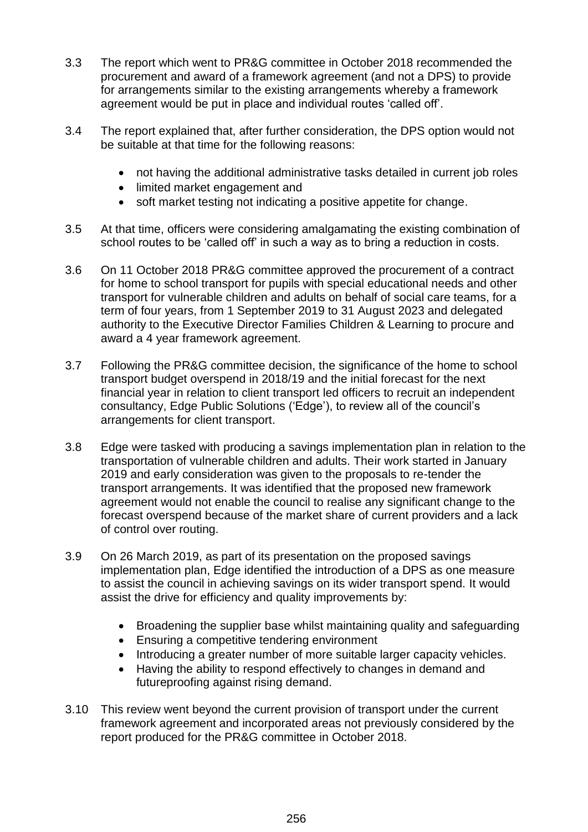- 3.3 The report which went to PR&G committee in October 2018 recommended the procurement and award of a framework agreement (and not a DPS) to provide for arrangements similar to the existing arrangements whereby a framework agreement would be put in place and individual routes 'called off'.
- 3.4 The report explained that, after further consideration, the DPS option would not be suitable at that time for the following reasons:
	- not having the additional administrative tasks detailed in current job roles
	- limited market engagement and
	- soft market testing not indicating a positive appetite for change.
- 3.5 At that time, officers were considering amalgamating the existing combination of school routes to be 'called off' in such a way as to bring a reduction in costs.
- 3.6 On 11 October 2018 PR&G committee approved the procurement of a contract for home to school transport for pupils with special educational needs and other transport for vulnerable children and adults on behalf of social care teams, for a term of four years, from 1 September 2019 to 31 August 2023 and delegated authority to the Executive Director Families Children & Learning to procure and award a 4 year framework agreement.
- 3.7 Following the PR&G committee decision, the significance of the home to school transport budget overspend in 2018/19 and the initial forecast for the next financial year in relation to client transport led officers to recruit an independent consultancy, Edge Public Solutions ('Edge'), to review all of the council's arrangements for client transport.
- 3.8 Edge were tasked with producing a savings implementation plan in relation to the transportation of vulnerable children and adults. Their work started in January 2019 and early consideration was given to the proposals to re-tender the transport arrangements. It was identified that the proposed new framework agreement would not enable the council to realise any significant change to the forecast overspend because of the market share of current providers and a lack of control over routing.
- 3.9 On 26 March 2019, as part of its presentation on the proposed savings implementation plan, Edge identified the introduction of a DPS as one measure to assist the council in achieving savings on its wider transport spend. It would assist the drive for efficiency and quality improvements by:
	- Broadening the supplier base whilst maintaining quality and safeguarding
	- Ensuring a competitive tendering environment
	- Introducing a greater number of more suitable larger capacity vehicles.
	- Having the ability to respond effectively to changes in demand and futureproofing against rising demand.
- 3.10 This review went beyond the current provision of transport under the current framework agreement and incorporated areas not previously considered by the report produced for the PR&G committee in October 2018.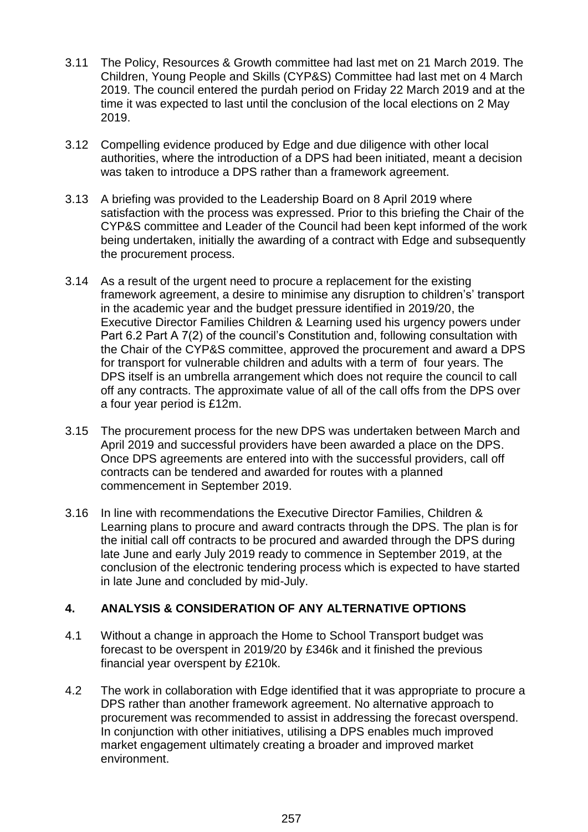- 3.11 The Policy, Resources & Growth committee had last met on 21 March 2019. The Children, Young People and Skills (CYP&S) Committee had last met on 4 March 2019. The council entered the purdah period on Friday 22 March 2019 and at the time it was expected to last until the conclusion of the local elections on 2 May 2019.
- 3.12 Compelling evidence produced by Edge and due diligence with other local authorities, where the introduction of a DPS had been initiated, meant a decision was taken to introduce a DPS rather than a framework agreement.
- 3.13 A briefing was provided to the Leadership Board on 8 April 2019 where satisfaction with the process was expressed. Prior to this briefing the Chair of the CYP&S committee and Leader of the Council had been kept informed of the work being undertaken, initially the awarding of a contract with Edge and subsequently the procurement process.
- 3.14 As a result of the urgent need to procure a replacement for the existing framework agreement, a desire to minimise any disruption to children's' transport in the academic year and the budget pressure identified in 2019/20, the Executive Director Families Children & Learning used his urgency powers under Part 6.2 Part A 7(2) of the council's Constitution and, following consultation with the Chair of the CYP&S committee, approved the procurement and award a DPS for transport for vulnerable children and adults with a term of four years. The DPS itself is an umbrella arrangement which does not require the council to call off any contracts. The approximate value of all of the call offs from the DPS over a four year period is £12m.
- 3.15 The procurement process for the new DPS was undertaken between March and April 2019 and successful providers have been awarded a place on the DPS. Once DPS agreements are entered into with the successful providers, call off contracts can be tendered and awarded for routes with a planned commencement in September 2019.
- 3.16 In line with recommendations the Executive Director Families, Children & Learning plans to procure and award contracts through the DPS. The plan is for the initial call off contracts to be procured and awarded through the DPS during late June and early July 2019 ready to commence in September 2019, at the conclusion of the electronic tendering process which is expected to have started in late June and concluded by mid-July.

### **4. ANALYSIS & CONSIDERATION OF ANY ALTERNATIVE OPTIONS**

- 4.1 Without a change in approach the Home to School Transport budget was forecast to be overspent in 2019/20 by £346k and it finished the previous financial year overspent by £210k.
- 4.2 The work in collaboration with Edge identified that it was appropriate to procure a DPS rather than another framework agreement. No alternative approach to procurement was recommended to assist in addressing the forecast overspend. In conjunction with other initiatives, utilising a DPS enables much improved market engagement ultimately creating a broader and improved market environment.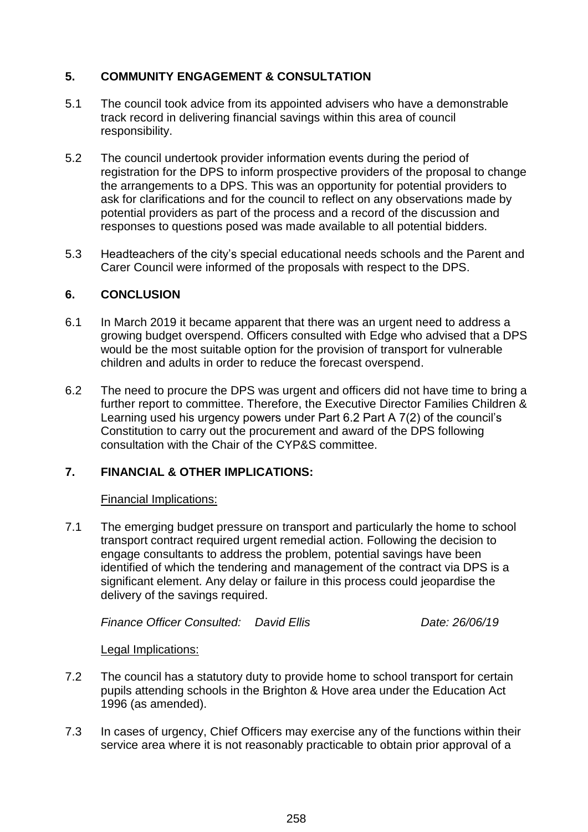### **5. COMMUNITY ENGAGEMENT & CONSULTATION**

- 5.1 The council took advice from its appointed advisers who have a demonstrable track record in delivering financial savings within this area of council responsibility.
- 5.2 The council undertook provider information events during the period of registration for the DPS to inform prospective providers of the proposal to change the arrangements to a DPS. This was an opportunity for potential providers to ask for clarifications and for the council to reflect on any observations made by potential providers as part of the process and a record of the discussion and responses to questions posed was made available to all potential bidders.
- 5.3 Headteachers of the city's special educational needs schools and the Parent and Carer Council were informed of the proposals with respect to the DPS.

### **6. CONCLUSION**

- 6.1 In March 2019 it became apparent that there was an urgent need to address a growing budget overspend. Officers consulted with Edge who advised that a DPS would be the most suitable option for the provision of transport for vulnerable children and adults in order to reduce the forecast overspend.
- 6.2 The need to procure the DPS was urgent and officers did not have time to bring a further report to committee. Therefore, the Executive Director Families Children & Learning used his urgency powers under Part 6.2 Part A 7(2) of the council's Constitution to carry out the procurement and award of the DPS following consultation with the Chair of the CYP&S committee.

# **7. FINANCIAL & OTHER IMPLICATIONS:**

### Financial Implications:

7.1 The emerging budget pressure on transport and particularly the home to school transport contract required urgent remedial action. Following the decision to engage consultants to address the problem, potential savings have been identified of which the tendering and management of the contract via DPS is a significant element. Any delay or failure in this process could jeopardise the delivery of the savings required.

*Finance Officer Consulted: David Ellis Date: 26/06/19*

### Legal Implications:

- 7.2 The council has a statutory duty to provide home to school transport for certain pupils attending schools in the Brighton & Hove area under the Education Act 1996 (as amended).
- 7.3 In cases of urgency, Chief Officers may exercise any of the functions within their service area where it is not reasonably practicable to obtain prior approval of a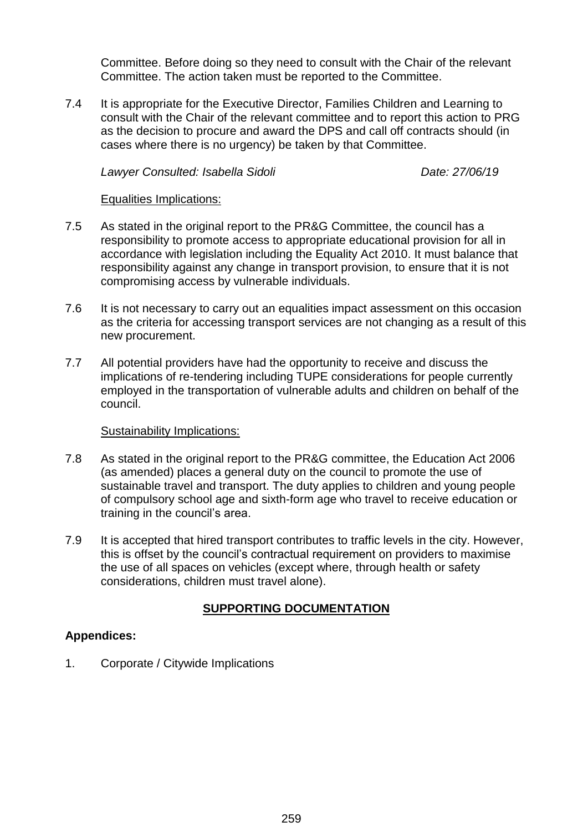Committee. Before doing so they need to consult with the Chair of the relevant Committee. The action taken must be reported to the Committee.

7.4 It is appropriate for the Executive Director, Families Children and Learning to consult with the Chair of the relevant committee and to report this action to PRG as the decision to procure and award the DPS and call off contracts should (in cases where there is no urgency) be taken by that Committee.

*Lawyer Consulted: Isabella Sidoli Date: 27/06/19*

#### Equalities Implications:

- 7.5 As stated in the original report to the PR&G Committee, the council has a responsibility to promote access to appropriate educational provision for all in accordance with legislation including the Equality Act 2010. It must balance that responsibility against any change in transport provision, to ensure that it is not compromising access by vulnerable individuals.
- 7.6 It is not necessary to carry out an equalities impact assessment on this occasion as the criteria for accessing transport services are not changing as a result of this new procurement.
- 7.7 All potential providers have had the opportunity to receive and discuss the implications of re-tendering including TUPE considerations for people currently employed in the transportation of vulnerable adults and children on behalf of the council.

#### Sustainability Implications:

- 7.8 As stated in the original report to the PR&G committee, the Education Act 2006 (as amended) places a general duty on the council to promote the use of sustainable travel and transport. The duty applies to children and young people of compulsory school age and sixth-form age who travel to receive education or training in the council's area.
- 7.9 It is accepted that hired transport contributes to traffic levels in the city. However, this is offset by the council's contractual requirement on providers to maximise the use of all spaces on vehicles (except where, through health or safety considerations, children must travel alone).

# **SUPPORTING DOCUMENTATION**

### **Appendices:**

1. Corporate / Citywide Implications